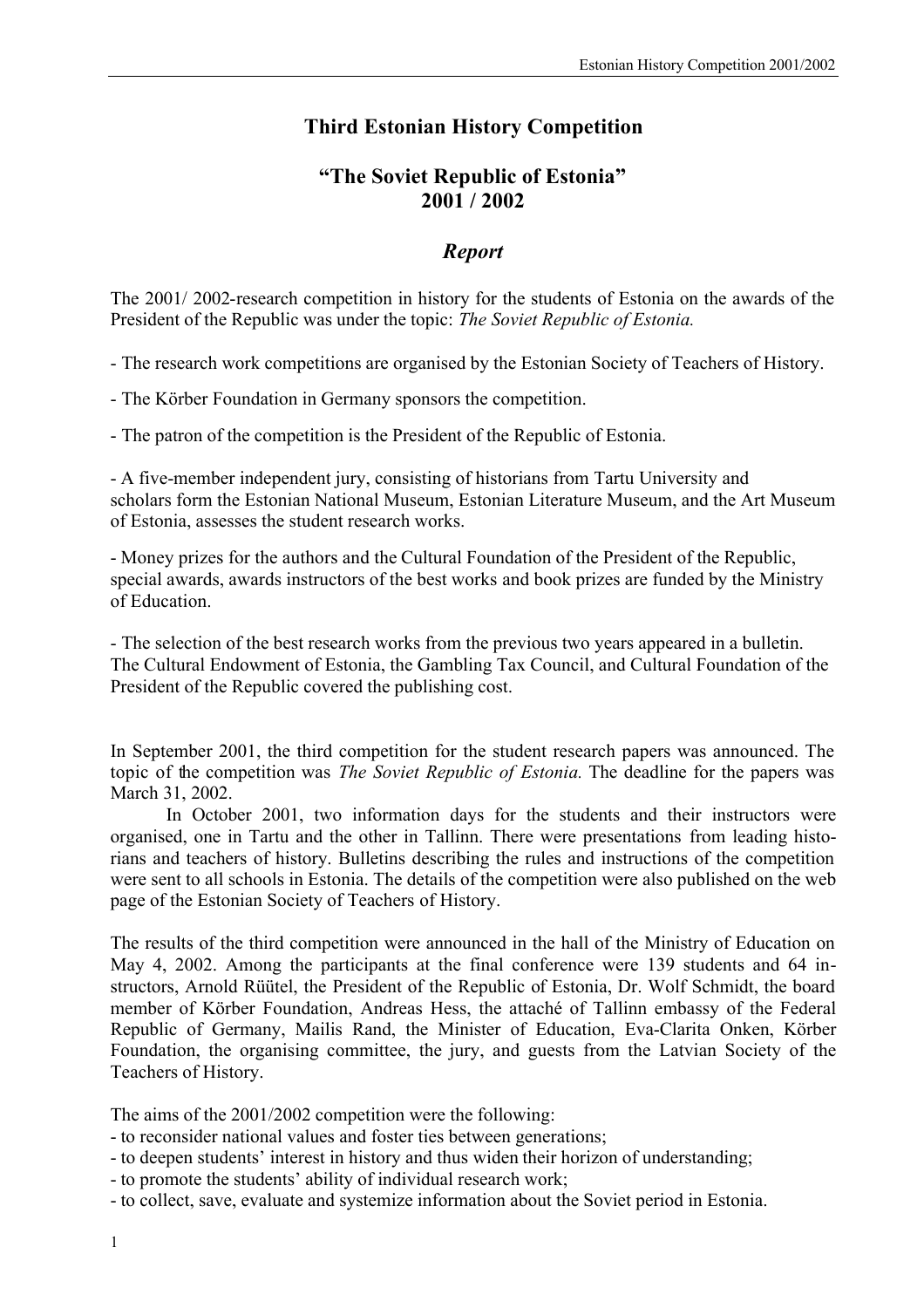# **Third Estonian History Competition**

### **"The Soviet Republic of Estonia" 2001 / 2002**

## *Report*

The 2001/ 2002-research competition in history for the students of Estonia on the awards of the President of the Republic was under the topic: *The Soviet Republic of Estonia.*

- The research work competitions are organised by the Estonian Society of Teachers of History.

- The Körber Foundation in Germany sponsors the competition.

- The patron of the competition is the President of the Republic of Estonia.

- A five-member independent jury, consisting of historians from Tartu University and scholars form the Estonian National Museum, Estonian Literature Museum, and the Art Museum of Estonia, assesses the student research works.

- Money prizes for the authors and the Cultural Foundation of the President of the Republic, special awards, awards instructors of the best works and book prizes are funded by the Ministry of Education.

- The selection of the best research works from the previous two years appeared in a bulletin. The Cultural Endowment of Estonia, the Gambling Tax Council, and Cultural Foundation of the President of the Republic covered the publishing cost.

In September 2001, the third competition for the student research papers was announced. The topic of the competition was *The Soviet Republic of Estonia.* The deadline for the papers was March 31, 2002.

In October 2001, two information days for the students and their instructors were organised, one in Tartu and the other in Tallinn. There were presentations from leading historians and teachers of history. Bulletins describing the rules and instructions of the competition were sent to all schools in Estonia. The details of the competition were also published on the web page of the Estonian Society of Teachers of History.

The results of the third competition were announced in the hall of the Ministry of Education on May 4, 2002. Among the participants at the final conference were 139 students and 64 instructors, Arnold Rüütel, the President of the Republic of Estonia, Dr. Wolf Schmidt, the board member of Körber Foundation, Andreas Hess, the attaché of Tallinn embassy of the Federal Republic of Germany, Mailis Rand, the Minister of Education, Eva-Clarita Onken, Körber Foundation, the organising committee, the jury, and guests from the Latvian Society of the Teachers of History.

The aims of the 2001/2002 competition were the following:

- to reconsider national values and foster ties between generations;
- to deepen students' interest in history and thus widen their horizon of understanding;
- to promote the students' ability of individual research work;
- to collect, save, evaluate and systemize information about the Soviet period in Estonia.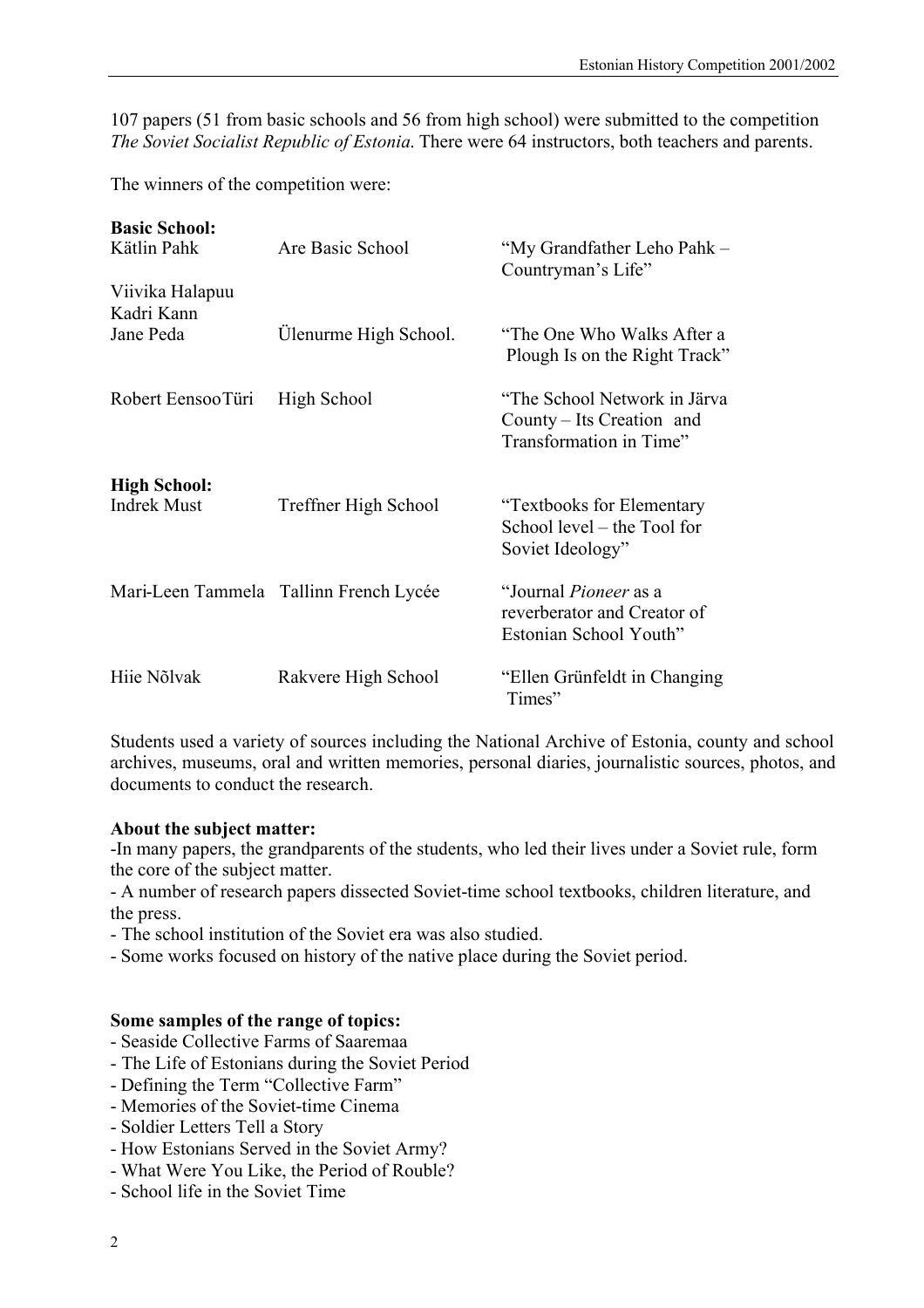107 papers (51 from basic schools and 56 from high school) were submitted to the competition *The Soviet Socialist Republic of Estonia*. There were 64 instructors, both teachers and parents.

The winners of the competition were:

| <b>Basic School:</b><br>Kätlin Pahk       | Are Basic School                       | "My Grandfather Leho Pahk -<br>Countryman's Life"                                     |
|-------------------------------------------|----------------------------------------|---------------------------------------------------------------------------------------|
| Viivika Halapuu                           |                                        |                                                                                       |
| Kadri Kann<br>Jane Peda                   | Ulenurme High School.                  | "The One Who Walks After a<br>Plough Is on the Right Track"                           |
| Robert EensooTüri                         | High School                            | "The School Network in Järva<br>County – Its Creation and<br>Transformation in Time"  |
| <b>High School:</b><br><b>Indrek Must</b> | Treffner High School                   | "Textbooks for Elementary"<br>School level – the Tool for<br>Soviet Ideology"         |
|                                           | Mari-Leen Tammela Tallinn French Lycée | "Journal <i>Pioneer</i> as a<br>reverberator and Creator of<br>Estonian School Youth" |
| Hije Nõlvak                               | Rakvere High School                    | "Ellen Grünfeldt in Changing<br>Times"                                                |

Students used a variety of sources including the National Archive of Estonia, county and school archives, museums, oral and written memories, personal diaries, journalistic sources, photos, and documents to conduct the research.

### **About the subject matter:**

-In many papers, the grandparents of the students, who led their lives under a Soviet rule, form the core of the subject matter.

- A number of research papers dissected Soviet-time school textbooks, children literature, and the press.

- The school institution of the Soviet era was also studied.

- Some works focused on history of the native place during the Soviet period.

#### **Some samples of the range of topics:**

- Seaside Collective Farms of Saaremaa
- The Life of Estonians during the Soviet Period
- Defining the Term "Collective Farm"
- Memories of the Soviet-time Cinema
- Soldier Letters Tell a Story
- How Estonians Served in the Soviet Army?
- What Were You Like, the Period of Rouble?
- School life in the Soviet Time